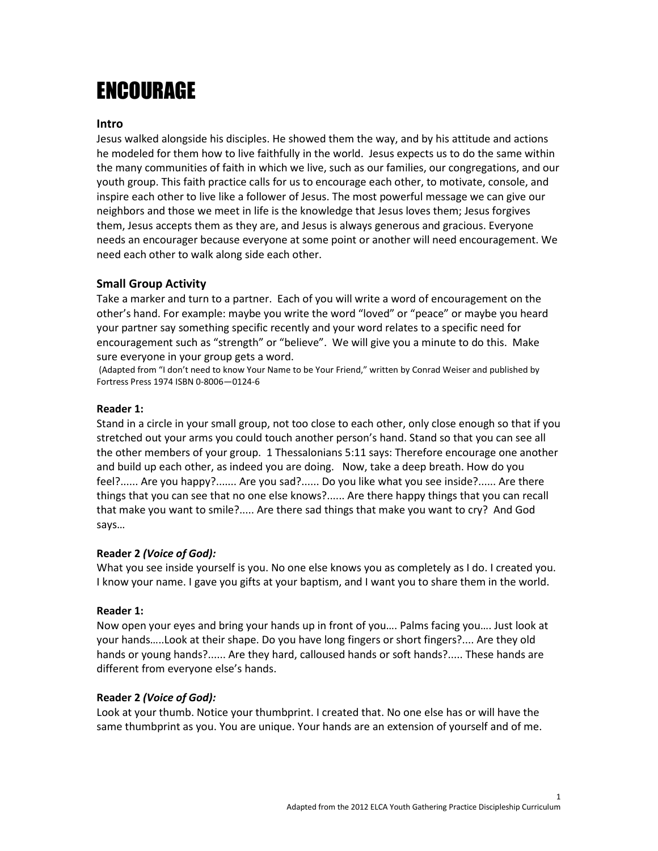# ENCOURAGE

## Intro

Jesus walked alongside his disciples. He showed them the way, and by his attitude and actions he modeled for them how to live faithfully in the world. Jesus expects us to do the same within the many communities of faith in which we live, such as our families, our congregations, and our youth group. This faith practice calls for us to encourage each other, to motivate, console, and inspire each other to live like a follower of Jesus. The most powerful message we can give our neighbors and those we meet in life is the knowledge that Jesus loves them; Jesus forgives them, Jesus accepts them as they are, and Jesus is always generous and gracious. Everyone needs an encourager because everyone at some point or another will need encouragement. We need each other to walk along side each other.

# Small Group Activity

Take a marker and turn to a partner. Each of you will write a word of encouragement on the other's hand. For example: maybe you write the word "loved" or "peace" or maybe you heard your partner say something specific recently and your word relates to a specific need for encouragement such as "strength" or "believe". We will give you a minute to do this. Make sure everyone in your group gets a word.

 (Adapted from "I don't need to know Your Name to be Your Friend," written by Conrad Weiser and published by Fortress Press 1974 ISBN 0-8006—0124-6

### Reader 1:

Stand in a circle in your small group, not too close to each other, only close enough so that if you stretched out your arms you could touch another person's hand. Stand so that you can see all the other members of your group. 1 Thessalonians 5:11 says: Therefore encourage one another and build up each other, as indeed you are doing. Now, take a deep breath. How do you feel?...... Are you happy?....... Are you sad?...... Do you like what you see inside?...... Are there things that you can see that no one else knows?...... Are there happy things that you can recall that make you want to smile?..... Are there sad things that make you want to cry? And God says…

### Reader 2 (Voice of God):

What you see inside yourself is you. No one else knows you as completely as I do. I created you. I know your name. I gave you gifts at your baptism, and I want you to share them in the world.

### Reader 1:

Now open your eyes and bring your hands up in front of you…. Palms facing you…. Just look at your hands…..Look at their shape. Do you have long fingers or short fingers?.... Are they old hands or young hands?...... Are they hard, calloused hands or soft hands?..... These hands are different from everyone else's hands.

### Reader 2 (Voice of God):

Look at your thumb. Notice your thumbprint. I created that. No one else has or will have the same thumbprint as you. You are unique. Your hands are an extension of yourself and of me.